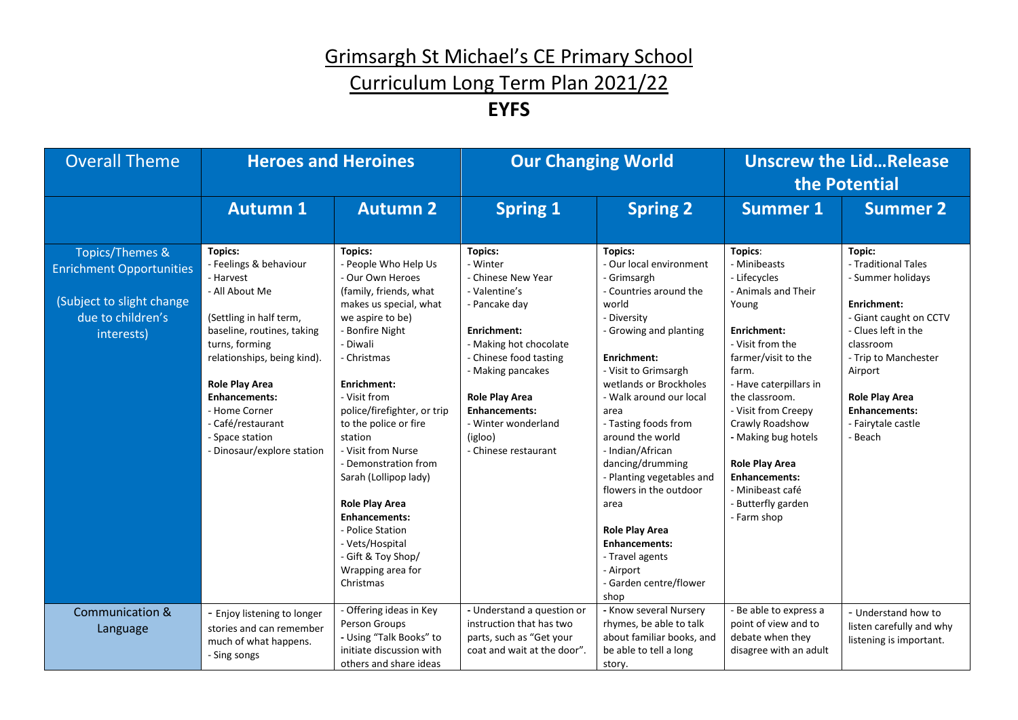### Curriculum Long Term Plan 2021/22

| <b>Overall Theme</b>                                                                                                          | <b>Heroes and Heroines</b>                                                                                                                                                                                                                                                                                                |                                                                                                                                                                                                                                                                                                                                                                                                                                                                                                           |                                                                                                                                                                                                                                                                                              | <b>Our Changing World</b>                                                                                                                                                                                                                                                                                                                                                                                                                                                                                      |                                                                                                                                                                                                                                                                                                                                                                   | <b>Unscrew the LidRelease</b><br>the Potential                                                                                                                                                                                                       |  |
|-------------------------------------------------------------------------------------------------------------------------------|---------------------------------------------------------------------------------------------------------------------------------------------------------------------------------------------------------------------------------------------------------------------------------------------------------------------------|-----------------------------------------------------------------------------------------------------------------------------------------------------------------------------------------------------------------------------------------------------------------------------------------------------------------------------------------------------------------------------------------------------------------------------------------------------------------------------------------------------------|----------------------------------------------------------------------------------------------------------------------------------------------------------------------------------------------------------------------------------------------------------------------------------------------|----------------------------------------------------------------------------------------------------------------------------------------------------------------------------------------------------------------------------------------------------------------------------------------------------------------------------------------------------------------------------------------------------------------------------------------------------------------------------------------------------------------|-------------------------------------------------------------------------------------------------------------------------------------------------------------------------------------------------------------------------------------------------------------------------------------------------------------------------------------------------------------------|------------------------------------------------------------------------------------------------------------------------------------------------------------------------------------------------------------------------------------------------------|--|
|                                                                                                                               | <b>Autumn 1</b>                                                                                                                                                                                                                                                                                                           | <b>Autumn 2</b>                                                                                                                                                                                                                                                                                                                                                                                                                                                                                           | <b>Spring 1</b>                                                                                                                                                                                                                                                                              | <b>Spring 2</b>                                                                                                                                                                                                                                                                                                                                                                                                                                                                                                | <b>Summer 1</b>                                                                                                                                                                                                                                                                                                                                                   | <b>Summer 2</b>                                                                                                                                                                                                                                      |  |
| <b>Topics/Themes &amp;</b><br><b>Enrichment Opportunities</b><br>(Subject to slight change<br>due to children's<br>interests) | <b>Topics:</b><br>- Feelings & behaviour<br>- Harvest<br>- All About Me<br>(Settling in half term,<br>baseline, routines, taking<br>turns, forming<br>relationships, being kind).<br><b>Role Play Area</b><br><b>Enhancements:</b><br>- Home Corner<br>- Café/restaurant<br>- Space station<br>- Dinosaur/explore station | <b>Topics:</b><br>- People Who Help Us<br>- Our Own Heroes<br>(family, friends, what<br>makes us special, what<br>we aspire to be)<br>- Bonfire Night<br>- Diwali<br>- Christmas<br>Enrichment:<br>- Visit from<br>police/firefighter, or trip<br>to the police or fire<br>station<br>- Visit from Nurse<br>- Demonstration from<br>Sarah (Lollipop lady)<br><b>Role Play Area</b><br><b>Enhancements:</b><br>- Police Station<br>- Vets/Hospital<br>- Gift & Toy Shop/<br>Wrapping area for<br>Christmas | <b>Topics:</b><br>- Winter<br>- Chinese New Year<br>- Valentine's<br>- Pancake day<br><b>Enrichment:</b><br>- Making hot chocolate<br>- Chinese food tasting<br>- Making pancakes<br><b>Role Play Area</b><br><b>Enhancements:</b><br>- Winter wonderland<br>(igloo)<br>- Chinese restaurant | <b>Topics:</b><br>- Our local environment<br>- Grimsargh<br>- Countries around the<br>world<br>- Diversity<br>- Growing and planting<br>Enrichment:<br>- Visit to Grimsargh<br>wetlands or Brockholes<br>- Walk around our local<br>area<br>- Tasting foods from<br>around the world<br>- Indian/African<br>dancing/drumming<br>- Planting vegetables and<br>flowers in the outdoor<br>area<br><b>Role Play Area</b><br><b>Enhancements:</b><br>- Travel agents<br>- Airport<br>- Garden centre/flower<br>shop | Topics:<br>- Minibeasts<br>- Lifecycles<br>- Animals and Their<br>Young<br>Enrichment:<br>- Visit from the<br>farmer/visit to the<br>farm.<br>- Have caterpillars in<br>the classroom.<br>- Visit from Creepy<br>Crawly Roadshow<br>- Making bug hotels<br><b>Role Play Area</b><br><b>Enhancements:</b><br>- Minibeast café<br>- Butterfly garden<br>- Farm shop | Topic:<br>- Traditional Tales<br>- Summer holidays<br>Enrichment:<br>- Giant caught on CCTV<br>- Clues left in the<br>classroom<br>- Trip to Manchester<br>Airport<br><b>Role Play Area</b><br><b>Enhancements:</b><br>- Fairytale castle<br>- Beach |  |
| <b>Communication &amp;</b><br>Language                                                                                        | - Enjoy listening to longer<br>stories and can remember<br>much of what happens.<br>- Sing songs                                                                                                                                                                                                                          | - Offering ideas in Key<br>Person Groups<br>- Using "Talk Books" to<br>initiate discussion with<br>others and share ideas                                                                                                                                                                                                                                                                                                                                                                                 | - Understand a question or<br>instruction that has two<br>parts, such as "Get your<br>coat and wait at the door".                                                                                                                                                                            | - Know several Nursery<br>rhymes, be able to talk<br>about familiar books, and<br>be able to tell a long<br>story.                                                                                                                                                                                                                                                                                                                                                                                             | - Be able to express a<br>point of view and to<br>debate when they<br>disagree with an adult                                                                                                                                                                                                                                                                      | - Understand how to<br>listen carefully and why<br>listening is important.                                                                                                                                                                           |  |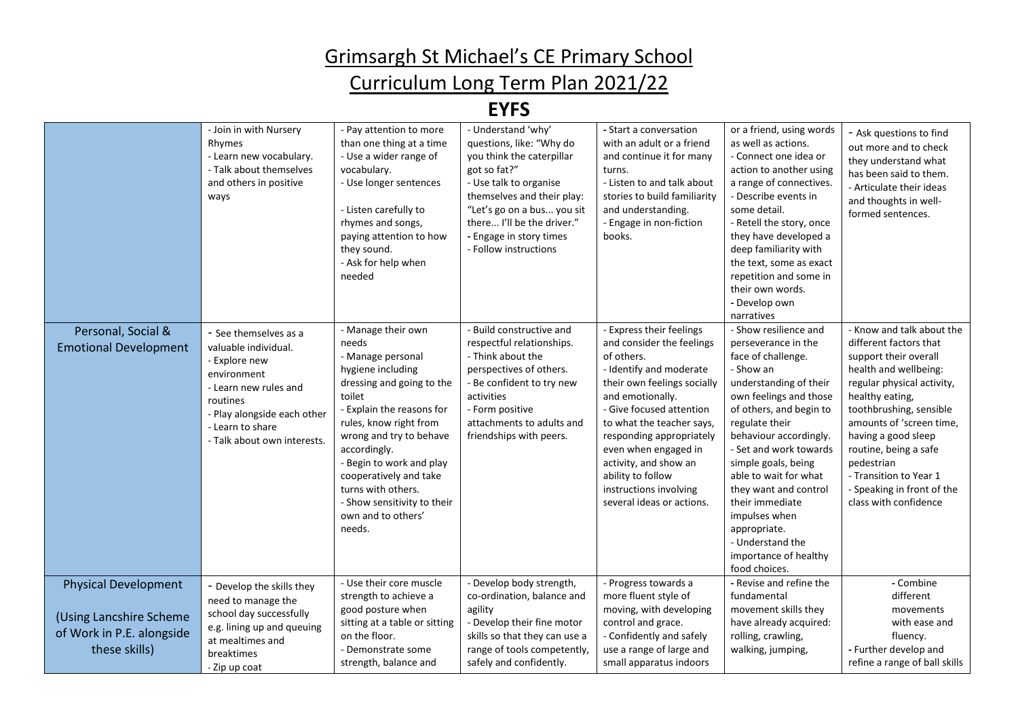### Curriculum Long Term Plan 2021/22

|                                                                                                       | - Join in with Nursery<br>Rhymes<br>- Learn new vocabulary.<br>- Talk about themselves<br>and others in positive<br>ways                                                                             | - Pay attention to more<br>than one thing at a time<br>- Use a wider range of<br>vocabulary.<br>- Use longer sentences<br>- Listen carefully to<br>rhymes and songs,<br>paying attention to how<br>they sound.<br>- Ask for help when<br>needed                                                                                                           | - Understand 'why'<br>questions, like: "Why do<br>you think the caterpillar<br>got so fat?"<br>- Use talk to organise<br>themselves and their play:<br>"Let's go on a bus you sit<br>there I'll be the driver."<br>- Engage in story times<br>- Follow instructions | - Start a conversation<br>with an adult or a friend<br>and continue it for many<br>turns.<br>- Listen to and talk about<br>stories to build familiarity<br>and understanding.<br>- Engage in non-fiction<br>books.                                                                                                                                                  | or a friend, using words<br>as well as actions.<br>- Connect one idea or<br>action to another using<br>a range of connectives.<br>- Describe events in<br>some detail.<br>- Retell the story, once<br>they have developed a<br>deep familiarity with<br>the text, some as exact<br>repetition and some in<br>their own words.<br>- Develop own<br>narratives                                                                    | - Ask questions to find<br>out more and to check<br>they understand what<br>has been said to them.<br>- Articulate their ideas<br>and thoughts in well-<br>formed sentences.                                                                                                                                                                                 |
|-------------------------------------------------------------------------------------------------------|------------------------------------------------------------------------------------------------------------------------------------------------------------------------------------------------------|-----------------------------------------------------------------------------------------------------------------------------------------------------------------------------------------------------------------------------------------------------------------------------------------------------------------------------------------------------------|---------------------------------------------------------------------------------------------------------------------------------------------------------------------------------------------------------------------------------------------------------------------|---------------------------------------------------------------------------------------------------------------------------------------------------------------------------------------------------------------------------------------------------------------------------------------------------------------------------------------------------------------------|---------------------------------------------------------------------------------------------------------------------------------------------------------------------------------------------------------------------------------------------------------------------------------------------------------------------------------------------------------------------------------------------------------------------------------|--------------------------------------------------------------------------------------------------------------------------------------------------------------------------------------------------------------------------------------------------------------------------------------------------------------------------------------------------------------|
| Personal, Social &<br><b>Emotional Development</b>                                                    | - See themselves as a<br>valuable individual.<br>- Explore new<br>environment<br>- Learn new rules and<br>routines<br>- Play alongside each other<br>- Learn to share<br>- Talk about own interests. | - Manage their own<br>needs<br>- Manage personal<br>hygiene including<br>dressing and going to the<br>toilet<br>- Explain the reasons for<br>rules, know right from<br>wrong and try to behave<br>accordingly.<br>- Begin to work and play<br>cooperatively and take<br>turns with others.<br>- Show sensitivity to their<br>own and to others'<br>needs. | - Build constructive and<br>respectful relationships.<br>- Think about the<br>perspectives of others.<br>- Be confident to try new<br>activities<br>- Form positive<br>attachments to adults and<br>friendships with peers.                                         | - Express their feelings<br>and consider the feelings<br>of others.<br>- Identify and moderate<br>their own feelings socially<br>and emotionally.<br>- Give focused attention<br>to what the teacher says,<br>responding appropriately<br>even when engaged in<br>activity, and show an<br>ability to follow<br>instructions involving<br>several ideas or actions. | - Show resilience and<br>perseverance in the<br>face of challenge.<br>- Show an<br>understanding of their<br>own feelings and those<br>of others, and begin to<br>regulate their<br>behaviour accordingly.<br>- Set and work towards<br>simple goals, being<br>able to wait for what<br>they want and control<br>their immediate<br>impulses when<br>appropriate.<br>- Understand the<br>importance of healthy<br>food choices. | - Know and talk about the<br>different factors that<br>support their overall<br>health and wellbeing:<br>regular physical activity,<br>healthy eating,<br>toothbrushing, sensible<br>amounts of 'screen time,<br>having a good sleep<br>routine, being a safe<br>pedestrian<br>- Transition to Year 1<br>- Speaking in front of the<br>class with confidence |
| <b>Physical Development</b><br>(Using Lancshire Scheme)<br>of Work in P.E. alongside<br>these skills) | - Develop the skills they<br>need to manage the<br>school day successfully<br>e.g. lining up and queuing<br>at mealtimes and<br>breaktimes<br>- Zip up coat                                          | - Use their core muscle<br>strength to achieve a<br>good posture when<br>sitting at a table or sitting<br>on the floor.<br>- Demonstrate some<br>strength, balance and                                                                                                                                                                                    | - Develop body strength,<br>co-ordination, balance and<br>agility<br>- Develop their fine motor<br>skills so that they can use a<br>range of tools competently,<br>safely and confidently.                                                                          | - Progress towards a<br>more fluent style of<br>moving, with developing<br>control and grace.<br>- Confidently and safely<br>use a range of large and<br>small apparatus indoors                                                                                                                                                                                    | - Revise and refine the<br>fundamental<br>movement skills they<br>have already acquired:<br>rolling, crawling,<br>walking, jumping,                                                                                                                                                                                                                                                                                             | - Combine<br>different<br>movements<br>with ease and<br>fluency.<br>- Further develop and<br>refine a range of ball skills                                                                                                                                                                                                                                   |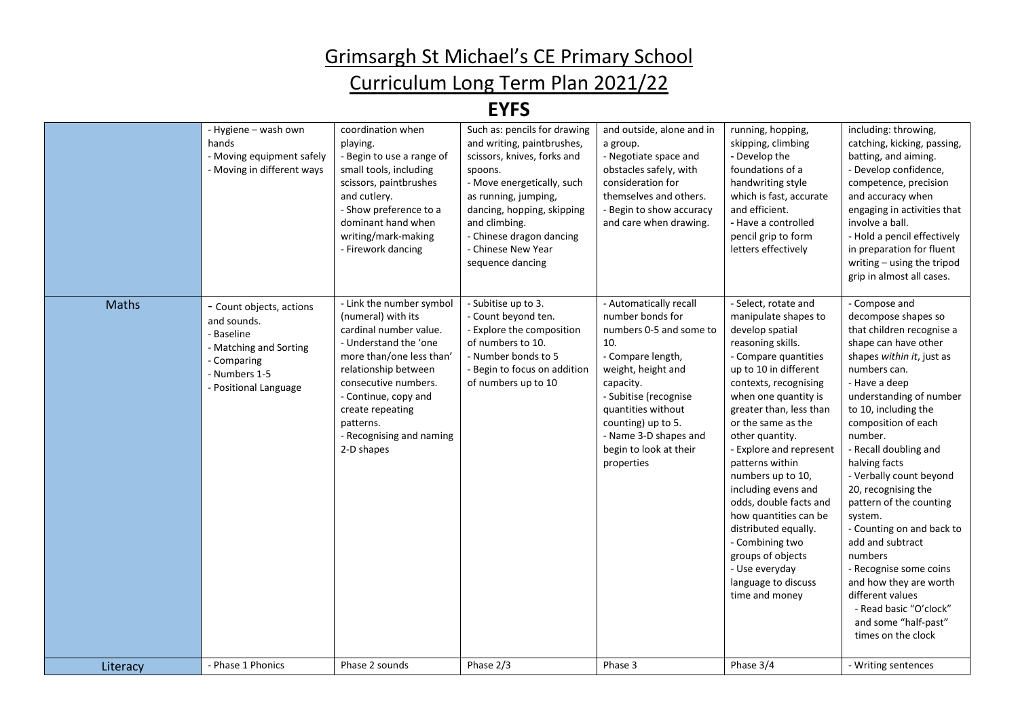## Curriculum Long Term Plan 2021/22

|          | - Hygiene - wash own<br>hands<br>- Moving equipment safely<br>- Moving in different ways                                                 | coordination when<br>playing.<br>- Begin to use a range of<br>small tools, including<br>scissors, paintbrushes<br>and cutlery.<br>- Show preference to a<br>dominant hand when<br>writing/mark-making<br>- Firework dancing                                                      | Such as: pencils for drawing<br>and writing, paintbrushes,<br>scissors, knives, forks and<br>spoons.<br>- Move energetically, such<br>as running, jumping,<br>dancing, hopping, skipping<br>and climbing.<br>- Chinese dragon dancing<br>- Chinese New Year<br>sequence dancing | and outside, alone and in<br>a group.<br>- Negotiate space and<br>obstacles safely, with<br>consideration for<br>themselves and others.<br>- Begin to show accuracy<br>and care when drawing.                                                                              | running, hopping,<br>skipping, climbing<br>- Develop the<br>foundations of a<br>handwriting style<br>which is fast, accurate<br>and efficient.<br>- Have a controlled<br>pencil grip to form<br>letters effectively                                                                                                                                                                                                                                                                                                                | including: throwing,<br>catching, kicking, passing,<br>batting, and aiming.<br>- Develop confidence,<br>competence, precision<br>and accuracy when<br>engaging in activities that<br>involve a ball.<br>- Hold a pencil effectively<br>in preparation for fluent<br>writing - using the tripod<br>grip in almost all cases.                                                                                                                                                                                                                                                                |
|----------|------------------------------------------------------------------------------------------------------------------------------------------|----------------------------------------------------------------------------------------------------------------------------------------------------------------------------------------------------------------------------------------------------------------------------------|---------------------------------------------------------------------------------------------------------------------------------------------------------------------------------------------------------------------------------------------------------------------------------|----------------------------------------------------------------------------------------------------------------------------------------------------------------------------------------------------------------------------------------------------------------------------|------------------------------------------------------------------------------------------------------------------------------------------------------------------------------------------------------------------------------------------------------------------------------------------------------------------------------------------------------------------------------------------------------------------------------------------------------------------------------------------------------------------------------------|--------------------------------------------------------------------------------------------------------------------------------------------------------------------------------------------------------------------------------------------------------------------------------------------------------------------------------------------------------------------------------------------------------------------------------------------------------------------------------------------------------------------------------------------------------------------------------------------|
| Maths    | - Count objects, actions<br>and sounds.<br>- Baseline<br>- Matching and Sorting<br>- Comparing<br>- Numbers 1-5<br>- Positional Language | - Link the number symbol<br>(numeral) with its<br>cardinal number value.<br>- Understand the 'one<br>more than/one less than'<br>relationship between<br>consecutive numbers.<br>- Continue, copy and<br>create repeating<br>patterns.<br>- Recognising and naming<br>2-D shapes | - Subitise up to 3.<br>- Count beyond ten.<br>- Explore the composition<br>of numbers to 10.<br>- Number bonds to 5<br>- Begin to focus on addition<br>of numbers up to 10                                                                                                      | - Automatically recall<br>number bonds for<br>numbers 0-5 and some to<br>10.<br>- Compare length,<br>weight, height and<br>capacity.<br>- Subitise (recognise<br>quantities without<br>counting) up to 5.<br>- Name 3-D shapes and<br>begin to look at their<br>properties | - Select, rotate and<br>manipulate shapes to<br>develop spatial<br>reasoning skills.<br>- Compare quantities<br>up to 10 in different<br>contexts, recognising<br>when one quantity is<br>greater than, less than<br>or the same as the<br>other quantity.<br>- Explore and represent<br>patterns within<br>numbers up to 10,<br>including evens and<br>odds, double facts and<br>how quantities can be<br>distributed equally.<br>- Combining two<br>groups of objects<br>- Use everyday<br>language to discuss<br>time and money | - Compose and<br>decompose shapes so<br>that children recognise a<br>shape can have other<br>shapes within it, just as<br>numbers can.<br>- Have a deep<br>understanding of number<br>to 10, including the<br>composition of each<br>number.<br>- Recall doubling and<br>halving facts<br>- Verbally count beyond<br>20, recognising the<br>pattern of the counting<br>system.<br>- Counting on and back to<br>add and subtract<br>numbers<br>- Recognise some coins<br>and how they are worth<br>different values<br>- Read basic "O'clock"<br>and some "half-past"<br>times on the clock |
| Literacy | - Phase 1 Phonics                                                                                                                        | Phase 2 sounds                                                                                                                                                                                                                                                                   | Phase 2/3                                                                                                                                                                                                                                                                       | Phase 3                                                                                                                                                                                                                                                                    | Phase 3/4                                                                                                                                                                                                                                                                                                                                                                                                                                                                                                                          | - Writing sentences                                                                                                                                                                                                                                                                                                                                                                                                                                                                                                                                                                        |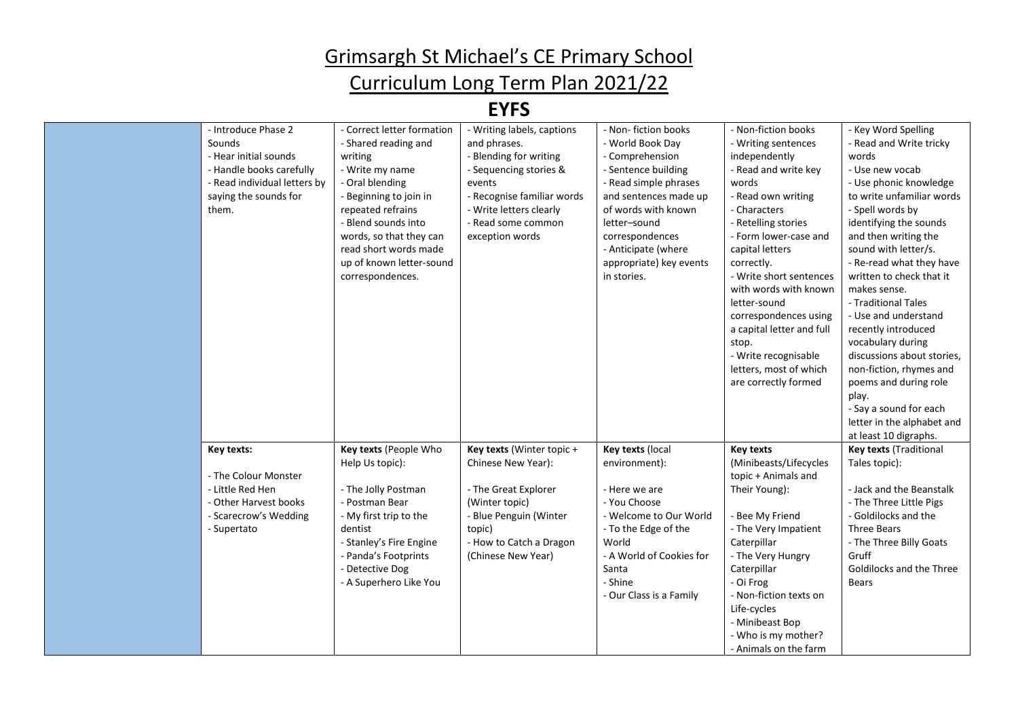## Curriculum Long Term Plan 2021/22

| - Introduce Phase 2<br>Sounds<br>- Hear initial sounds<br>- Handle books carefully<br>- Read individual letters by<br>saying the sounds for<br>them. | - Correct letter formation<br>- Shared reading and<br>writing<br>- Write my name<br>- Oral blending<br>- Beginning to join in<br>repeated refrains<br>- Blend sounds into<br>words, so that they can<br>read short words made<br>up of known letter-sound<br>correspondences. | - Writing labels, captions<br>and phrases.<br>- Blending for writing<br>- Sequencing stories &<br>events<br>- Recognise familiar words<br>- Write letters clearly<br>- Read some common<br>exception words | - Non- fiction books<br>- World Book Day<br>- Comprehension<br>- Sentence building<br>- Read simple phrases<br>and sentences made up<br>of words with known<br>letter-sound<br>correspondences<br>- Anticipate (where<br>appropriate) key events<br>in stories. | - Non-fiction books<br>- Writing sentences<br>independently<br>- Read and write key<br>words<br>- Read own writing<br>- Characters<br>- Retelling stories<br>- Form lower-case and<br>capital letters<br>correctly.<br>- Write short sentences<br>with words with known<br>letter-sound<br>correspondences using<br>a capital letter and full<br>stop.<br>- Write recognisable<br>letters, most of which<br>are correctly formed | - Key Word Spelling<br>- Read and Write tricky<br>words<br>- Use new vocab<br>- Use phonic knowledge<br>to write unfamiliar words<br>- Spell words by<br>identifying the sounds<br>and then writing the<br>sound with letter/s.<br>- Re-read what they have<br>written to check that it<br>makes sense.<br>- Traditional Tales<br>- Use and understand<br>recently introduced<br>vocabulary during<br>discussions about stories,<br>non-fiction, rhymes and<br>poems and during role<br>play.<br>- Say a sound for each<br>letter in the alphabet and<br>at least 10 digraphs. |
|------------------------------------------------------------------------------------------------------------------------------------------------------|-------------------------------------------------------------------------------------------------------------------------------------------------------------------------------------------------------------------------------------------------------------------------------|------------------------------------------------------------------------------------------------------------------------------------------------------------------------------------------------------------|-----------------------------------------------------------------------------------------------------------------------------------------------------------------------------------------------------------------------------------------------------------------|----------------------------------------------------------------------------------------------------------------------------------------------------------------------------------------------------------------------------------------------------------------------------------------------------------------------------------------------------------------------------------------------------------------------------------|--------------------------------------------------------------------------------------------------------------------------------------------------------------------------------------------------------------------------------------------------------------------------------------------------------------------------------------------------------------------------------------------------------------------------------------------------------------------------------------------------------------------------------------------------------------------------------|
| Key texts:<br>- The Colour Monster<br>- Little Red Hen<br>- Other Harvest books<br>- Scarecrow's Wedding<br>- Supertato                              | Key texts (People Who<br>Help Us topic):<br>- The Jolly Postman<br>- Postman Bear<br>- My first trip to the<br>dentist<br>- Stanley's Fire Engine<br>- Panda's Footprints<br>- Detective Dog<br>- A Superhero Like You                                                        | Key texts (Winter topic +<br>Chinese New Year):<br>- The Great Explorer<br>(Winter topic)<br>- Blue Penguin (Winter<br>topic)<br>- How to Catch a Dragon<br>(Chinese New Year)                             | Key texts (local<br>environment):<br>- Here we are<br>- You Choose<br>- Welcome to Our World<br>- To the Edge of the<br>World<br>- A World of Cookies for<br>Santa<br>- Shine<br>- Our Class is a Family                                                        | <b>Key texts</b><br>(Minibeasts/Lifecycles<br>topic + Animals and<br>Their Young):<br>- Bee My Friend<br>- The Very Impatient<br>Caterpillar<br>- The Very Hungry<br>Caterpillar<br>- Oi Frog<br>- Non-fiction texts on<br>Life-cycles<br>- Minibeast Bop<br>- Who is my mother?<br>- Animals on the farm                                                                                                                        | <b>Key texts (Traditional</b><br>Tales topic):<br>- Jack and the Beanstalk<br>- The Three Little Pigs<br>- Goldilocks and the<br><b>Three Bears</b><br>- The Three Billy Goats<br>Gruff<br>Goldilocks and the Three<br>Bears                                                                                                                                                                                                                                                                                                                                                   |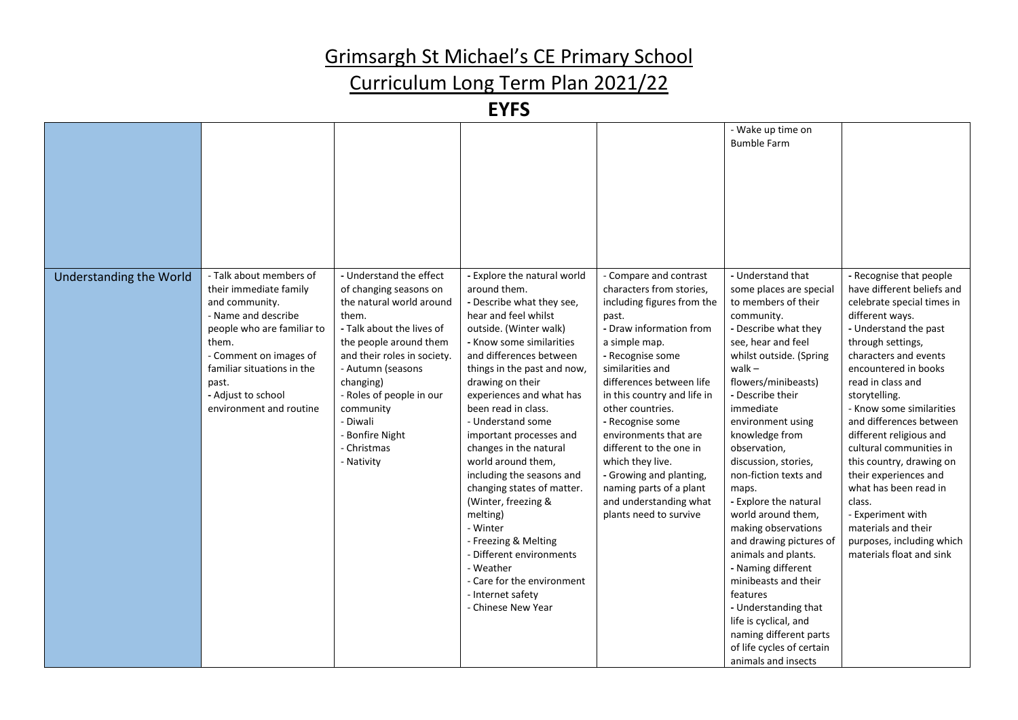## Curriculum Long Term Plan 2021/22

|                         |                                                                                                                                                                                                                                                     |                                                                                                                                                                                                                                                                                                                     |                                                                                                                                                                                                                                                                                                                                                                                                                                                                                                                                                                                                                                             |                                                                                                                                                                                                                                                                                                                                                                                                                                                                    | - Wake up time on<br><b>Bumble Farm</b>                                                                                                                                                                                                                                                                                                                                                                                                                                                                                                                                                                                                                          |                                                                                                                                                                                                                                                                                                                                                                                                                                                                                                                                                       |
|-------------------------|-----------------------------------------------------------------------------------------------------------------------------------------------------------------------------------------------------------------------------------------------------|---------------------------------------------------------------------------------------------------------------------------------------------------------------------------------------------------------------------------------------------------------------------------------------------------------------------|---------------------------------------------------------------------------------------------------------------------------------------------------------------------------------------------------------------------------------------------------------------------------------------------------------------------------------------------------------------------------------------------------------------------------------------------------------------------------------------------------------------------------------------------------------------------------------------------------------------------------------------------|--------------------------------------------------------------------------------------------------------------------------------------------------------------------------------------------------------------------------------------------------------------------------------------------------------------------------------------------------------------------------------------------------------------------------------------------------------------------|------------------------------------------------------------------------------------------------------------------------------------------------------------------------------------------------------------------------------------------------------------------------------------------------------------------------------------------------------------------------------------------------------------------------------------------------------------------------------------------------------------------------------------------------------------------------------------------------------------------------------------------------------------------|-------------------------------------------------------------------------------------------------------------------------------------------------------------------------------------------------------------------------------------------------------------------------------------------------------------------------------------------------------------------------------------------------------------------------------------------------------------------------------------------------------------------------------------------------------|
| Understanding the World | - Talk about members of<br>their immediate family<br>and community.<br>- Name and describe<br>people who are familiar to<br>them.<br>- Comment on images of<br>familiar situations in the<br>past.<br>- Adjust to school<br>environment and routine | - Understand the effect<br>of changing seasons on<br>the natural world around<br>them.<br>- Talk about the lives of<br>the people around them<br>and their roles in society.<br>- Autumn (seasons<br>changing)<br>- Roles of people in our<br>community<br>- Diwali<br>- Bonfire Night<br>- Christmas<br>- Nativity | - Explore the natural world<br>around them.<br>- Describe what they see,<br>hear and feel whilst<br>outside. (Winter walk)<br>- Know some similarities<br>and differences between<br>things in the past and now,<br>drawing on their<br>experiences and what has<br>been read in class.<br>- Understand some<br>important processes and<br>changes in the natural<br>world around them,<br>including the seasons and<br>changing states of matter.<br>(Winter, freezing &<br>melting)<br>- Winter<br>- Freezing & Melting<br>- Different environments<br>- Weather<br>- Care for the environment<br>- Internet safety<br>- Chinese New Year | - Compare and contrast<br>characters from stories,<br>including figures from the<br>past.<br>- Draw information from<br>a simple map.<br>- Recognise some<br>similarities and<br>differences between life<br>in this country and life in<br>other countries.<br>- Recognise some<br>environments that are<br>different to the one in<br>which they live.<br>- Growing and planting,<br>naming parts of a plant<br>and understanding what<br>plants need to survive | - Understand that<br>some places are special<br>to members of their<br>community.<br>- Describe what they<br>see, hear and feel<br>whilst outside. (Spring<br>$walk -$<br>flowers/minibeasts)<br>- Describe their<br>immediate<br>environment using<br>knowledge from<br>observation,<br>discussion, stories,<br>non-fiction texts and<br>maps.<br>- Explore the natural<br>world around them,<br>making observations<br>and drawing pictures of<br>animals and plants.<br>- Naming different<br>minibeasts and their<br>features<br>- Understanding that<br>life is cyclical, and<br>naming different parts<br>of life cycles of certain<br>animals and insects | - Recognise that people<br>have different beliefs and<br>celebrate special times in<br>different ways.<br>- Understand the past<br>through settings,<br>characters and events<br>encountered in books<br>read in class and<br>storytelling.<br>- Know some similarities<br>and differences between<br>different religious and<br>cultural communities in<br>this country, drawing on<br>their experiences and<br>what has been read in<br>class.<br>- Experiment with<br>materials and their<br>purposes, including which<br>materials float and sink |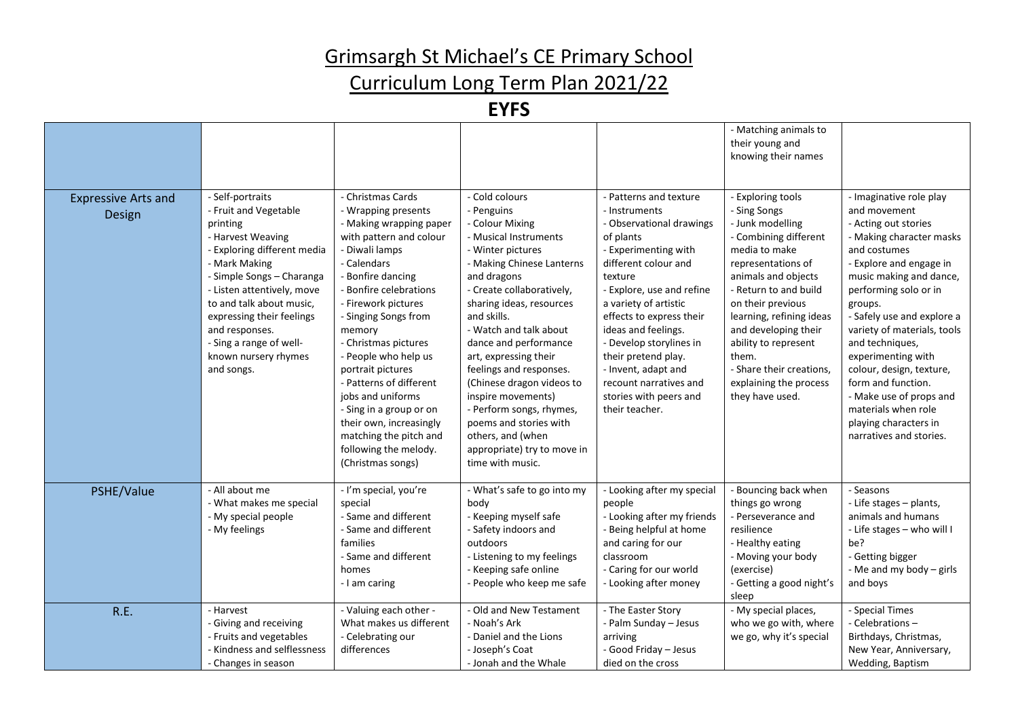## Curriculum Long Term Plan 2021/22

|                                      |                                                                                                                                                                                                                                                                                                                                   |                                                                                                                                                                                                                                                                                                                                                                                                                                                                                                      |                                                                                                                                                                                                                                                                                                                                                                                                                                                                                                           |                                                                                                                                                                                                                                                                                                                                                                                                     | - Matching animals to<br>their young and<br>knowing their names                                                                                                                                                                                                                                                                                          |                                                                                                                                                                                                                                                                                                                                                                                                                                                                     |
|--------------------------------------|-----------------------------------------------------------------------------------------------------------------------------------------------------------------------------------------------------------------------------------------------------------------------------------------------------------------------------------|------------------------------------------------------------------------------------------------------------------------------------------------------------------------------------------------------------------------------------------------------------------------------------------------------------------------------------------------------------------------------------------------------------------------------------------------------------------------------------------------------|-----------------------------------------------------------------------------------------------------------------------------------------------------------------------------------------------------------------------------------------------------------------------------------------------------------------------------------------------------------------------------------------------------------------------------------------------------------------------------------------------------------|-----------------------------------------------------------------------------------------------------------------------------------------------------------------------------------------------------------------------------------------------------------------------------------------------------------------------------------------------------------------------------------------------------|----------------------------------------------------------------------------------------------------------------------------------------------------------------------------------------------------------------------------------------------------------------------------------------------------------------------------------------------------------|---------------------------------------------------------------------------------------------------------------------------------------------------------------------------------------------------------------------------------------------------------------------------------------------------------------------------------------------------------------------------------------------------------------------------------------------------------------------|
| <b>Expressive Arts and</b><br>Design | - Self-portraits<br>- Fruit and Vegetable<br>printing<br>- Harvest Weaving<br>- Exploring different media<br>- Mark Making<br>- Simple Songs - Charanga<br>- Listen attentively, move<br>to and talk about music,<br>expressing their feelings<br>and responses.<br>- Sing a range of well-<br>known nursery rhymes<br>and songs. | - Christmas Cards<br>- Wrapping presents<br>- Making wrapping paper<br>with pattern and colour<br>- Diwali lamps<br>- Calendars<br><b>Bonfire dancing</b><br><b>Bonfire celebrations</b><br>- Firework pictures<br>- Singing Songs from<br>memory<br>- Christmas pictures<br>- People who help us<br>portrait pictures<br>- Patterns of different<br>jobs and uniforms<br>- Sing in a group or on<br>their own, increasingly<br>matching the pitch and<br>following the melody.<br>(Christmas songs) | - Cold colours<br>- Penguins<br>- Colour Mixing<br>- Musical Instruments<br>- Winter pictures<br>- Making Chinese Lanterns<br>and dragons<br>- Create collaboratively,<br>sharing ideas, resources<br>and skills.<br>- Watch and talk about<br>dance and performance<br>art, expressing their<br>feelings and responses.<br>(Chinese dragon videos to<br>inspire movements)<br>- Perform songs, rhymes,<br>poems and stories with<br>others, and (when<br>appropriate) try to move in<br>time with music. | - Patterns and texture<br>- Instruments<br>- Observational drawings<br>of plants<br>- Experimenting with<br>different colour and<br>texture<br>- Explore, use and refine<br>a variety of artistic<br>effects to express their<br>ideas and feelings.<br>- Develop storylines in<br>their pretend play.<br>- Invent, adapt and<br>recount narratives and<br>stories with peers and<br>their teacher. | - Exploring tools<br>- Sing Songs<br>- Junk modelling<br>- Combining different<br>media to make<br>representations of<br>animals and objects<br>- Return to and build<br>on their previous<br>learning, refining ideas<br>and developing their<br>ability to represent<br>them.<br>- Share their creations,<br>explaining the process<br>they have used. | - Imaginative role play<br>and movement<br>- Acting out stories<br>- Making character masks<br>and costumes<br>- Explore and engage in<br>music making and dance,<br>performing solo or in<br>groups.<br>- Safely use and explore a<br>variety of materials, tools<br>and techniques,<br>experimenting with<br>colour, design, texture,<br>form and function.<br>- Make use of props and<br>materials when role<br>playing characters in<br>narratives and stories. |
| PSHE/Value                           | - All about me<br>- What makes me special<br>- My special people<br>- My feelings                                                                                                                                                                                                                                                 | - I'm special, you're<br>special<br>- Same and different<br>- Same and different<br>families<br>- Same and different<br>homes<br>- I am caring                                                                                                                                                                                                                                                                                                                                                       | - What's safe to go into my<br>body<br>- Keeping myself safe<br>- Safety indoors and<br>outdoors<br>- Listening to my feelings<br>- Keeping safe online<br>- People who keep me safe                                                                                                                                                                                                                                                                                                                      | - Looking after my special<br>people<br>- Looking after my friends<br>- Being helpful at home<br>and caring for our<br>classroom<br>- Caring for our world<br>- Looking after money                                                                                                                                                                                                                 | - Bouncing back when<br>things go wrong<br>- Perseverance and<br>resilience<br>- Healthy eating<br>- Moving your body<br>(exercise)<br>- Getting a good night's<br>sleep                                                                                                                                                                                 | - Seasons<br>- Life stages - plants,<br>animals and humans<br>- Life stages - who will I<br>be?<br>- Getting bigger<br>- Me and my body - girls<br>and boys                                                                                                                                                                                                                                                                                                         |
| R.E.                                 | - Harvest<br>- Giving and receiving<br>- Fruits and vegetables<br>- Kindness and selflessness<br>- Changes in season                                                                                                                                                                                                              | - Valuing each other -<br>What makes us different<br>- Celebrating our<br>differences                                                                                                                                                                                                                                                                                                                                                                                                                | - Old and New Testament<br>- Noah's Ark<br>- Daniel and the Lions<br>- Joseph's Coat<br>- Jonah and the Whale                                                                                                                                                                                                                                                                                                                                                                                             | - The Easter Story<br>- Palm Sunday - Jesus<br>arriving<br>- Good Friday - Jesus<br>died on the cross                                                                                                                                                                                                                                                                                               | - My special places,<br>who we go with, where<br>we go, why it's special                                                                                                                                                                                                                                                                                 | - Special Times<br>- Celebrations -<br>Birthdays, Christmas,<br>New Year, Anniversary,<br>Wedding, Baptism                                                                                                                                                                                                                                                                                                                                                          |